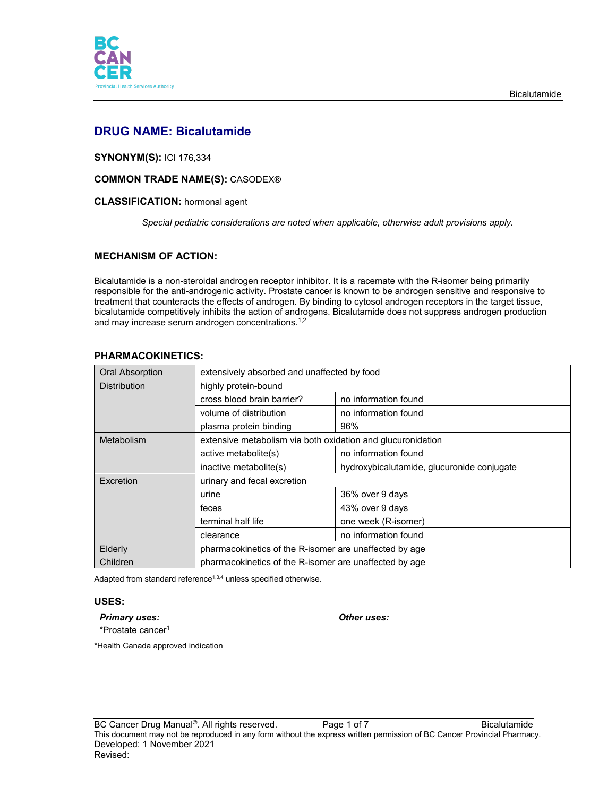

# **DRUG NAME: Bicalutamide**

# **SYNONYM(S):** ICI 176,334

# **COMMON TRADE NAME(S):** CASODEX®

# **CLASSIFICATION:** hormonal agent

*Special pediatric considerations are noted when applicable, otherwise adult provisions apply.*

# **MECHANISM OF ACTION:**

Bicalutamide is a non-steroidal androgen receptor inhibitor. It is a racemate with the R-isomer being primarily responsible for the anti-androgenic activity. Prostate cancer is known to be androgen sensitive and responsive to treatment that counteracts the effects of androgen. By binding to cytosol androgen receptors in the target tissue, bicalutamide competitively inhibits the action of androgens. Bicalutamide does not suppress androgen production and may increase serum androgen concentrations.<sup>1,2</sup>

| Oral Absorption     | extensively absorbed and unaffected by food                 |                                            |
|---------------------|-------------------------------------------------------------|--------------------------------------------|
| <b>Distribution</b> | highly protein-bound                                        |                                            |
|                     | cross blood brain barrier?                                  | no information found                       |
|                     | volume of distribution                                      | no information found                       |
|                     | plasma protein binding                                      | 96%                                        |
| Metabolism          | extensive metabolism via both oxidation and glucuronidation |                                            |
|                     | active metabolite(s)                                        | no information found                       |
|                     | inactive metabolite(s)                                      | hydroxybicalutamide, glucuronide conjugate |
| Excretion           | urinary and fecal excretion                                 |                                            |
|                     | urine                                                       | 36% over 9 days                            |
|                     | feces                                                       | 43% over 9 days                            |
|                     | terminal half life                                          | one week (R-isomer)                        |
|                     | clearance                                                   | no information found                       |
| Elderly             | pharmacokinetics of the R-isomer are unaffected by age      |                                            |
| Children            | pharmacokinetics of the R-isomer are unaffected by age      |                                            |

# **PHARMACOKINETICS:**

Adapted from standard reference $1,3,4$  unless specified otherwise.

#### **USES:**

# *Primary uses: Other uses:*

\*Prostate cancer1

\*Health Canada approved indication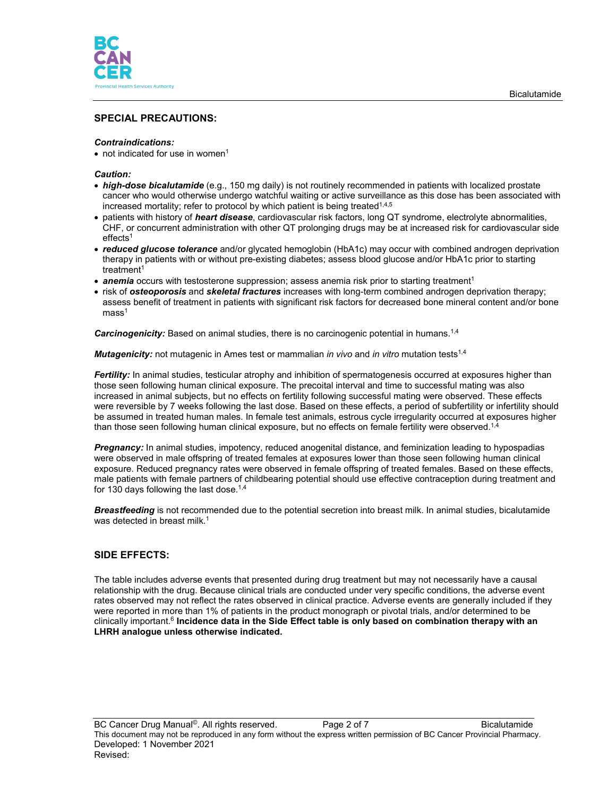

# **SPECIAL PRECAUTIONS:**

#### *Contraindications:*

• not indicated for use in women<sup>1</sup>

#### *Caution:*

- *high-dose bicalutamide* (e.g., 150 mg daily) is not routinely recommended in patients with localized prostate cancer who would otherwise undergo watchful waiting or active surveillance as this dose has been associated with increased mortality; refer to protocol by which patient is being treated<sup>1,4,5</sup>
- patients with history of *heart disease*, cardiovascular risk factors, long QT syndrome, electrolyte abnormalities, CHF, or concurrent administration with other QT prolonging drugs may be at increased risk for cardiovascular side  $effects<sup>1</sup>$
- *reduced glucose tolerance* and/or glycated hemoglobin (HbA1c) may occur with combined androgen deprivation therapy in patients with or without pre-existing diabetes; assess blood glucose and/or HbA1c prior to starting treatment<sup>1</sup>
- **anemia** occurs with testosterone suppression; assess anemia risk prior to starting treatment<sup>1</sup>
- risk of *osteoporosis* and *skeletal fractures* increases with long-term combined androgen deprivation therapy; assess benefit of treatment in patients with significant risk factors for decreased bone mineral content and/or bone  $mass<sup>1</sup>$

**Carcinogenicity:** Based on animal studies, there is no carcinogenic potential in humans.<sup>1,4</sup>

*Mutagenicity:* not mutagenic in Ames test or mammalian *in vivo* and *in vitro* mutation tests1,4

*Fertility:* In animal studies, testicular atrophy and inhibition of spermatogenesis occurred at exposures higher than those seen following human clinical exposure. The precoital interval and time to successful mating was also increased in animal subjects, but no effects on fertility following successful mating were observed. These effects were reversible by 7 weeks following the last dose. Based on these effects, a period of subfertility or infertility should be assumed in treated human males. In female test animals, estrous cycle irregularity occurred at exposures higher than those seen following human clinical exposure, but no effects on female fertility were observed. $^{1,4}$ 

*Pregnancy:* In animal studies, impotency, reduced anogenital distance, and feminization leading to hypospadias were observed in male offspring of treated females at exposures lower than those seen following human clinical exposure. Reduced pregnancy rates were observed in female offspring of treated females. Based on these effects, male patients with female partners of childbearing potential should use effective contraception during treatment and for 130 days following the last dose.<sup>1,4</sup>

*Breastfeeding* is not recommended due to the potential secretion into breast milk. In animal studies, bicalutamide was detected in breast milk.<sup>1</sup>

## **SIDE EFFECTS:**

The table includes adverse events that presented during drug treatment but may not necessarily have a causal relationship with the drug. Because clinical trials are conducted under very specific conditions, the adverse event rates observed may not reflect the rates observed in clinical practice. Adverse events are generally included if they were reported in more than 1% of patients in the product monograph or pivotal trials, and/or determined to be clinically important. <sup>6</sup> **Incidence data in the Side Effect table is only based on combination therapy with an LHRH analogue unless otherwise indicated.**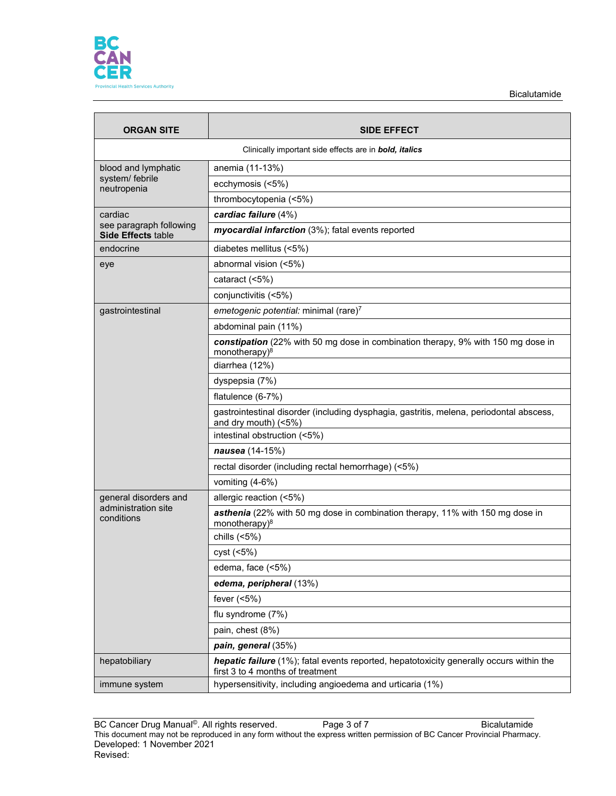

| <b>ORGAN SITE</b>                             | <b>SIDE EFFECT</b>                                                                                                          |  |
|-----------------------------------------------|-----------------------------------------------------------------------------------------------------------------------------|--|
|                                               | Clinically important side effects are in bold, italics                                                                      |  |
| blood and lymphatic                           | anemia (11-13%)                                                                                                             |  |
| system/ febrile<br>neutropenia                | ecchymosis (<5%)                                                                                                            |  |
|                                               | thrombocytopenia (<5%)                                                                                                      |  |
| cardiac                                       | cardiac failure (4%)                                                                                                        |  |
| see paragraph following<br>Side Effects table | myocardial infarction (3%); fatal events reported                                                                           |  |
| endocrine                                     | diabetes mellitus (<5%)                                                                                                     |  |
| eye                                           | abnormal vision (<5%)                                                                                                       |  |
|                                               | cataract (<5%)                                                                                                              |  |
|                                               | conjunctivitis (<5%)                                                                                                        |  |
| gastrointestinal                              | emetogenic potential: minimal (rare)7                                                                                       |  |
|                                               | abdominal pain (11%)                                                                                                        |  |
|                                               | constipation (22% with 50 mg dose in combination therapy, 9% with 150 mg dose in<br>monotherapy) <sup>8</sup>               |  |
|                                               | diarrhea (12%)                                                                                                              |  |
|                                               | dyspepsia (7%)                                                                                                              |  |
|                                               | flatulence (6-7%)                                                                                                           |  |
|                                               | gastrointestinal disorder (including dysphagia, gastritis, melena, periodontal abscess,<br>and dry mouth) (<5%)             |  |
|                                               | intestinal obstruction (<5%)                                                                                                |  |
|                                               | nausea (14-15%)                                                                                                             |  |
|                                               | rectal disorder (including rectal hemorrhage) (<5%)                                                                         |  |
|                                               | vomiting (4-6%)                                                                                                             |  |
| general disorders and                         | allergic reaction (<5%)                                                                                                     |  |
| administration site<br>conditions             | asthenia (22% with 50 mg dose in combination therapy, 11% with 150 mg dose in<br>monotherapy) <sup>8</sup>                  |  |
|                                               | chills $(5%)$                                                                                                               |  |
|                                               | cyst (<5%)                                                                                                                  |  |
|                                               | edema, face (<5%)                                                                                                           |  |
|                                               | edema, peripheral (13%)                                                                                                     |  |
|                                               | fever $(5%)$                                                                                                                |  |
|                                               | flu syndrome (7%)                                                                                                           |  |
|                                               | pain, chest (8%)                                                                                                            |  |
|                                               | pain, general (35%)                                                                                                         |  |
| hepatobiliary                                 | hepatic failure (1%); fatal events reported, hepatotoxicity generally occurs within the<br>first 3 to 4 months of treatment |  |
| immune system                                 | hypersensitivity, including angioedema and urticaria (1%)                                                                   |  |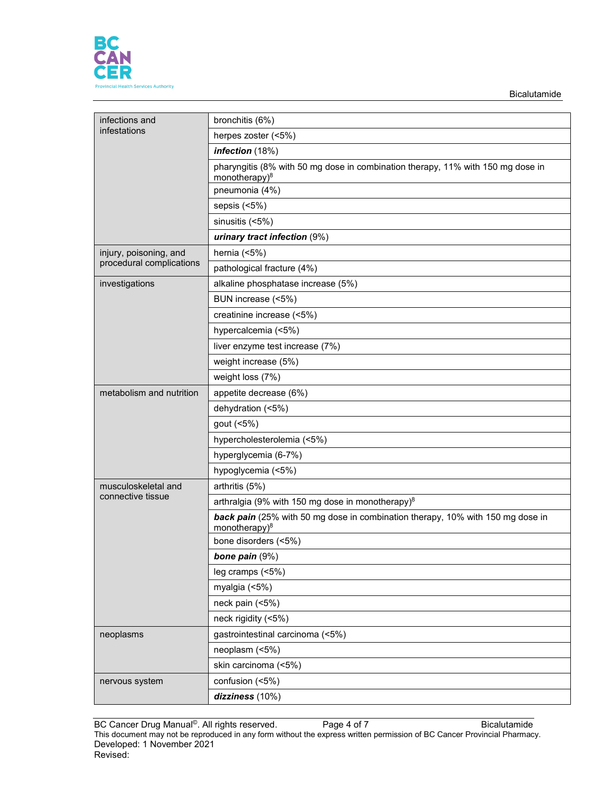

| infections and           | bronchitis (6%)                                                                                      |
|--------------------------|------------------------------------------------------------------------------------------------------|
| infestations             | herpes zoster (<5%)                                                                                  |
|                          | infection (18%)                                                                                      |
|                          | pharyngitis (8% with 50 mg dose in combination therapy, 11% with 150 mg dose in<br>monotherapy $)^8$ |
|                          | pneumonia (4%)                                                                                       |
|                          | sepsis (<5%)                                                                                         |
|                          | sinusitis (<5%)                                                                                      |
|                          | urinary tract infection (9%)                                                                         |
| injury, poisoning, and   | hernia $(5%)$                                                                                        |
| procedural complications | pathological fracture (4%)                                                                           |
| investigations           | alkaline phosphatase increase (5%)                                                                   |
|                          | BUN increase (<5%)                                                                                   |
|                          | creatinine increase (<5%)                                                                            |
|                          | hypercalcemia (<5%)                                                                                  |
|                          | liver enzyme test increase (7%)                                                                      |
|                          | weight increase (5%)                                                                                 |
|                          | weight loss (7%)                                                                                     |
| metabolism and nutrition | appetite decrease (6%)                                                                               |
|                          | dehydration (<5%)                                                                                    |
|                          | gout (<5%)                                                                                           |
|                          | hypercholesterolemia (<5%)                                                                           |
|                          | hyperglycemia (6-7%)                                                                                 |
|                          | hypoglycemia (<5%)                                                                                   |
| musculoskeletal and      | arthritis (5%)                                                                                       |
| connective tissue        | arthralgia (9% with 150 mg dose in monotherapy) <sup>8</sup>                                         |
|                          | back pain (25% with 50 mg dose in combination therapy, 10% with 150 mg dose in                       |
|                          | monotherapy) <sup>8</sup>                                                                            |
|                          | bone disorders (<5%)                                                                                 |
|                          | bone pain (9%)                                                                                       |
|                          | leg cramps (<5%)                                                                                     |
|                          | myalgia (<5%)                                                                                        |
|                          | neck pain (<5%)                                                                                      |
|                          | neck rigidity (<5%)                                                                                  |
| neoplasms                | gastrointestinal carcinoma (<5%)                                                                     |
|                          | neoplasm (<5%)                                                                                       |
|                          | skin carcinoma (<5%)                                                                                 |
| nervous system           | confusion (<5%)                                                                                      |
|                          | dizziness (10%)                                                                                      |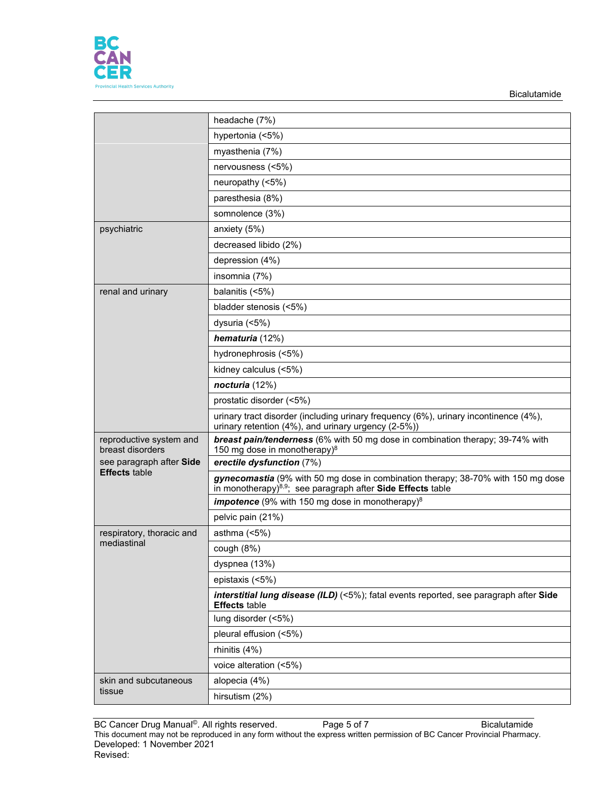

|                                                  | headache (7%)                                                                                                                                               |
|--------------------------------------------------|-------------------------------------------------------------------------------------------------------------------------------------------------------------|
|                                                  | hypertonia (<5%)                                                                                                                                            |
|                                                  | myasthenia (7%)                                                                                                                                             |
|                                                  | nervousness (<5%)                                                                                                                                           |
|                                                  | neuropathy (<5%)                                                                                                                                            |
|                                                  | paresthesia (8%)                                                                                                                                            |
|                                                  | somnolence (3%)                                                                                                                                             |
| psychiatric                                      | anxiety (5%)                                                                                                                                                |
|                                                  | decreased libido (2%)                                                                                                                                       |
|                                                  | depression (4%)                                                                                                                                             |
|                                                  | insomnia (7%)                                                                                                                                               |
| renal and urinary                                | balanitis (<5%)                                                                                                                                             |
|                                                  | bladder stenosis (<5%)                                                                                                                                      |
|                                                  | dysuria (<5%)                                                                                                                                               |
|                                                  | hematuria (12%)                                                                                                                                             |
|                                                  | hydronephrosis (<5%)                                                                                                                                        |
|                                                  | kidney calculus (<5%)                                                                                                                                       |
|                                                  | nocturia (12%)                                                                                                                                              |
|                                                  | prostatic disorder (<5%)                                                                                                                                    |
|                                                  | urinary tract disorder (including urinary frequency (6%), urinary incontinence (4%),<br>urinary retention (4%), and urinary urgency (2-5%))                 |
| reproductive system and<br>breast disorders      | breast pain/tenderness (6% with 50 mg dose in combination therapy; 39-74% with<br>150 mg dose in monotherapy) <sup>8</sup>                                  |
| see paragraph after Side<br><b>Effects table</b> | erectile dysfunction (7%)                                                                                                                                   |
|                                                  | gynecomastia (9% with 50 mg dose in combination therapy; 38-70% with 150 mg dose<br>in monotherapy) <sup>8,9</sup> ; see paragraph after Side Effects table |
|                                                  | <i>impotence</i> (9% with 150 mg dose in monotherapy) $8$                                                                                                   |
|                                                  | pelvic pain (21%)                                                                                                                                           |
| respiratory, thoracic and                        | asthma $(5%)$                                                                                                                                               |
| mediastinal                                      | cough (8%)                                                                                                                                                  |
|                                                  | dyspnea (13%)                                                                                                                                               |
|                                                  | epistaxis (<5%)                                                                                                                                             |
|                                                  | interstitial lung disease (ILD) (<5%); fatal events reported, see paragraph after Side<br><b>Effects</b> table                                              |
|                                                  | lung disorder (<5%)                                                                                                                                         |
|                                                  | pleural effusion (<5%)                                                                                                                                      |
|                                                  | rhinitis (4%)                                                                                                                                               |
|                                                  | voice alteration (<5%)                                                                                                                                      |
| skin and subcutaneous                            |                                                                                                                                                             |
| tissue                                           | alopecia (4%)                                                                                                                                               |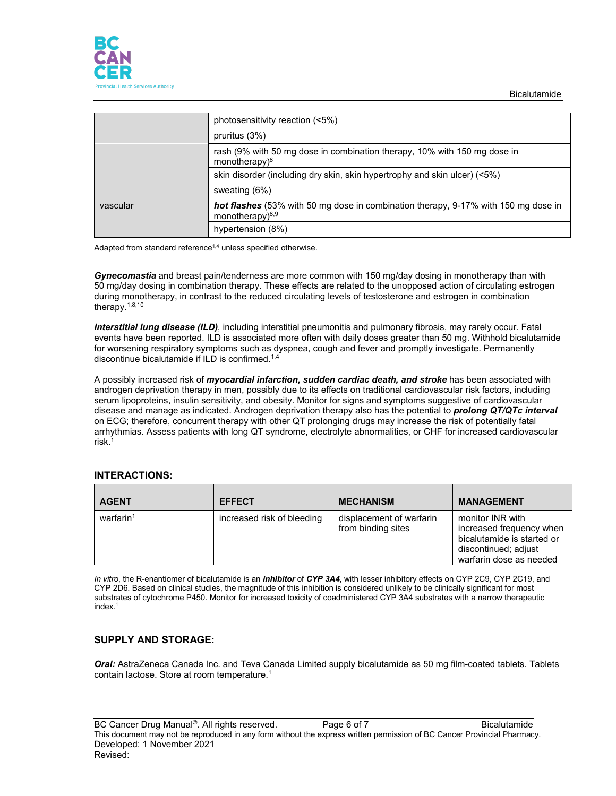

|          | photosensitivity reaction (<5%)                                                                             |
|----------|-------------------------------------------------------------------------------------------------------------|
|          | pruritus $(3%)$                                                                                             |
|          | rash (9% with 50 mg dose in combination therapy, 10% with 150 mg dose in<br>monotherapy $)^8$               |
|          | skin disorder (including dry skin, skin hypertrophy and skin ulcer) (<5%)                                   |
|          | sweating (6%)                                                                                               |
| vascular | hot flashes (53% with 50 mg dose in combination therapy, 9-17% with 150 mg dose in<br>monotherapy $)^{8,9}$ |
|          | hypertension (8%)                                                                                           |

Adapted from standard reference<sup>1,4</sup> unless specified otherwise.

*Gynecomastia* and breast pain/tenderness are more common with 150 mg/day dosing in monotherapy than with 50 mg/day dosing in combination therapy. These effects are related to the unopposed action of circulating estrogen during monotherapy, in contrast to the reduced circulating levels of testosterone and estrogen in combination therapy.1,8,10

*Interstitial lung disease (ILD)*, including interstitial pneumonitis and pulmonary fibrosis, may rarely occur. Fatal events have been reported. ILD is associated more often with daily doses greater than 50 mg. Withhold bicalutamide for worsening respiratory symptoms such as dyspnea, cough and fever and promptly investigate. Permanently discontinue bicalutamide if ILD is confirmed.1,4

A possibly increased risk of *myocardial infarction, sudden cardiac death, and stroke* has been associated with androgen deprivation therapy in men, possibly due to its effects on traditional cardiovascular risk factors, including serum lipoproteins, insulin sensitivity, and obesity. Monitor for signs and symptoms suggestive of cardiovascular disease and manage as indicated. Androgen deprivation therapy also has the potential to *prolong QT/QTc interval* on ECG; therefore, concurrent therapy with other QT prolonging drugs may increase the risk of potentially fatal arrhythmias. Assess patients with long QT syndrome, electrolyte abnormalities, or CHF for increased cardiovascular risk.1

## **INTERACTIONS:**

| <b>AGENT</b>          | <b>EFFECT</b>              | <b>MECHANISM</b>                               | <b>MANAGEMENT</b>                                                                                                             |
|-----------------------|----------------------------|------------------------------------------------|-------------------------------------------------------------------------------------------------------------------------------|
| warfarin <sup>1</sup> | increased risk of bleeding | displacement of warfarin<br>from binding sites | monitor INR with<br>increased frequency when<br>bicalutamide is started or<br>discontinued; adjust<br>warfarin dose as needed |

*In vitro*, the R-enantiomer of bicalutamide is an *inhibitor* of *CYP 3A4*, with lesser inhibitory effects on CYP 2C9, CYP 2C19, and CYP 2D6. Based on clinical studies, the magnitude of this inhibition is considered unlikely to be clinically significant for most substrates of cytochrome P450. Monitor for increased toxicity of coadministered CYP 3A4 substrates with a narrow therapeutic index. 1

## **SUPPLY AND STORAGE:**

*Oral:* AstraZeneca Canada Inc. and Teva Canada Limited supply bicalutamide as 50 mg film-coated tablets. Tablets contain lactose. Store at room temperature.1